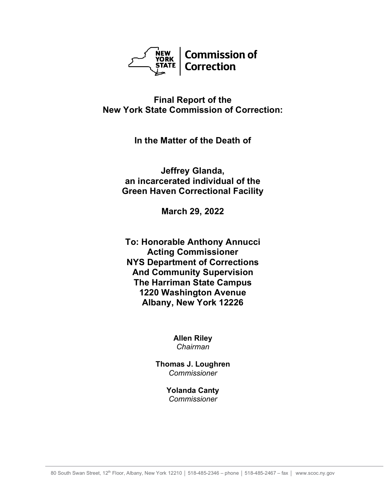

**Final Report of the New York State Commission of Correction:**

**In the Matter of the Death of**

**Jeffrey Glanda, an incarcerated individual of the Green Haven Correctional Facility**

**March 29, 2022**

**To: Honorable Anthony Annucci Acting Commissioner NYS Department of Corrections And Community Supervision The Harriman State Campus 1220 Washington Avenue Albany, New York 12226**

> **Allen Riley** *Chairman*

**Thomas J. Loughren** *Commissioner*

> **Yolanda Canty** *Commissioner*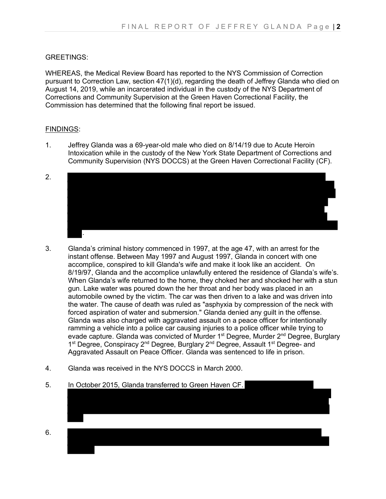## GREETINGS:

WHEREAS, the Medical Review Board has reported to the NYS Commission of Correction pursuant to Correction Law, section 47(1)(d), regarding the death of Jeffrey Glanda who died on August 14, 2019, while an incarcerated individual in the custody of the NYS Department of Corrections and Community Supervision at the Green Haven Correctional Facility, the Commission has determined that the following final report be issued.

## FINDINGS:

- 1. Jeffrey Glanda was a 69-year-old male who died on 8/14/19 due to Acute Heroin Intoxication while in the custody of the New York State Department of Corrections and Community Supervision (NYS DOCCS) at the Green Haven Correctional Facility (CF).
- 2. .
- 3. Glanda's criminal history commenced in 1997, at the age 47, with an arrest for the instant offense. Between May 1997 and August 1997, Glanda in concert with one accomplice, conspired to kill Glanda's wife and make it look like an accident. On 8/19/97, Glanda and the accomplice unlawfully entered the residence of Glanda's wife's. When Glanda's wife returned to the home, they choked her and shocked her with a stun gun. Lake water was poured down the her throat and her body was placed in an automobile owned by the victim. The car was then driven to a lake and was driven into the water. The cause of death was ruled as "asphyxia by compression of the neck with forced aspiration of water and submersion." Glanda denied any guilt in the offense. Glanda was also charged with aggravated assault on a peace officer for intentionally ramming a vehicle into a police car causing injuries to a police officer while trying to evade capture. Glanda was convicted of Murder 1<sup>st</sup> Degree, Murder 2<sup>nd</sup> Degree, Burglary 1<sup>st</sup> Degree, Conspiracy 2<sup>nd</sup> Degree, Burglary 2<sup>nd</sup> Degree, Assault 1<sup>st</sup> Degree- and Aggravated Assault on Peace Officer. Glanda was sentenced to life in prison.
- 4. Glanda was received in the NYS DOCCS in March 2000.
- 5. In October 2015, Glanda transferred to Green Haven CF.

6.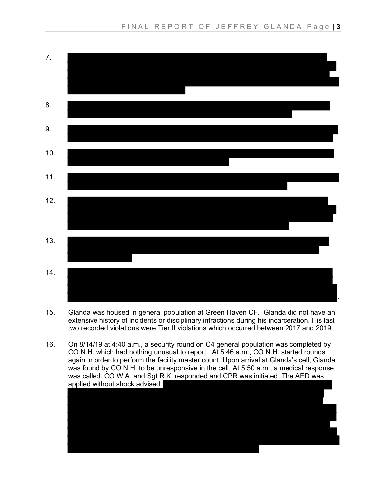

- 15. Glanda was housed in general population at Green Haven CF. Glanda did not have an extensive history of incidents or disciplinary infractions during his incarceration. His last two recorded violations were Tier II violations which occurred between 2017 and 2019.
- 16. On 8/14/19 at 4:40 a.m., a security round on C4 general population was completed by CO N.H. which had nothing unusual to report. At 5:46 a.m., CO N.H. started rounds again in order to perform the facility master count. Upon arrival at Glanda's cell, Glanda was found by CO N.H. to be unresponsive in the cell. At 5:50 a.m., a medical response was called. CO W.A. and Sgt R.K. responded and CPR was initiated. The AED was applied without shock advised.